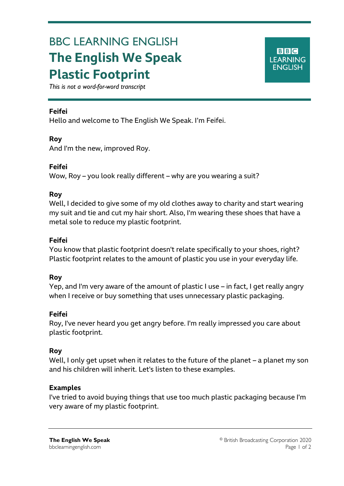# BBC LEARNING ENGLISH **The English We Speak Plastic Footprint**



*This is not a word-for-word transcript*

#### **Feifei**

Ξ

Hello and welcome to The English We Speak. I'm Feifei.

#### **Roy**

And I'm the new, improved Roy.

#### **Feifei**

Wow, Roy – you look really different – why are you wearing a suit?

#### **Roy**

Well, I decided to give some of my old clothes away to charity and start wearing my suit and tie and cut my hair short. Also, I'm wearing these shoes that have a metal sole to reduce my plastic footprint.

#### **Feifei**

You know that plastic footprint doesn't relate specifically to your shoes, right? Plastic footprint relates to the amount of plastic you use in your everyday life.

#### **Roy**

Yep, and I'm very aware of the amount of plastic I use – in fact, I get really angry when I receive or buy something that uses unnecessary plastic packaging.

#### **Feifei**

Roy, I've never heard you get angry before. I'm really impressed you care about plastic footprint.

#### **Roy**

Well, I only get upset when it relates to the future of the planet – a planet my son and his children will inherit. Let's listen to these examples.

#### **Examples**

I've tried to avoid buying things that use too much plastic packaging because I'm very aware of my plastic footprint.